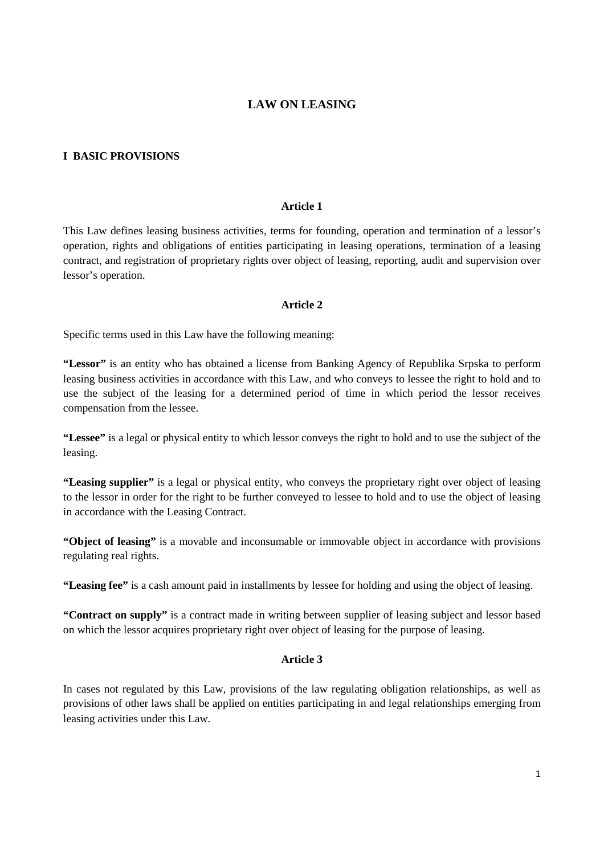## **LAW ON LEASING**

#### **I BASIC PROVISIONS**

#### **Article 1**

This Law defines leasing business activities, terms for founding, operation and termination of a lessor's operation, rights and obligations of entities participating in leasing operations, termination of a leasing contract, and registration of proprietary rights over object of leasing, reporting, audit and supervision over lessor's operation.

#### **Article 2**

Specific terms used in this Law have the following meaning:

**"Lessor"** is an entity who has obtained a license from Banking Agency of Republika Srpska to perform leasing business activities in accordance with this Law, and who conveys to lessee the right to hold and to use the subject of the leasing for a determined period of time in which period the lessor receives compensation from the lessee.

**"Lessee"** is a legal or physical entity to which lessor conveys the right to hold and to use the subject of the leasing.

**"Leasing supplier"** is a legal or physical entity, who conveys the proprietary right over object of leasing to the lessor in order for the right to be further conveyed to lessee to hold and to use the object of leasing in accordance with the Leasing Contract.

**"Object of leasing"** is a movable and inconsumable or immovable object in accordance with provisions regulating real rights.

**"Leasing fee"** is a cash amount paid in installments by lessee for holding and using the object of leasing.

**"Contract on supply"** is a contract made in writing between supplier of leasing subject and lessor based on which the lessor acquires proprietary right over object of leasing for the purpose of leasing.

#### **Article 3**

In cases not regulated by this Law, provisions of the law regulating obligation relationships, as well as provisions of other laws shall be applied on entities participating in and legal relationships emerging from leasing activities under this Law.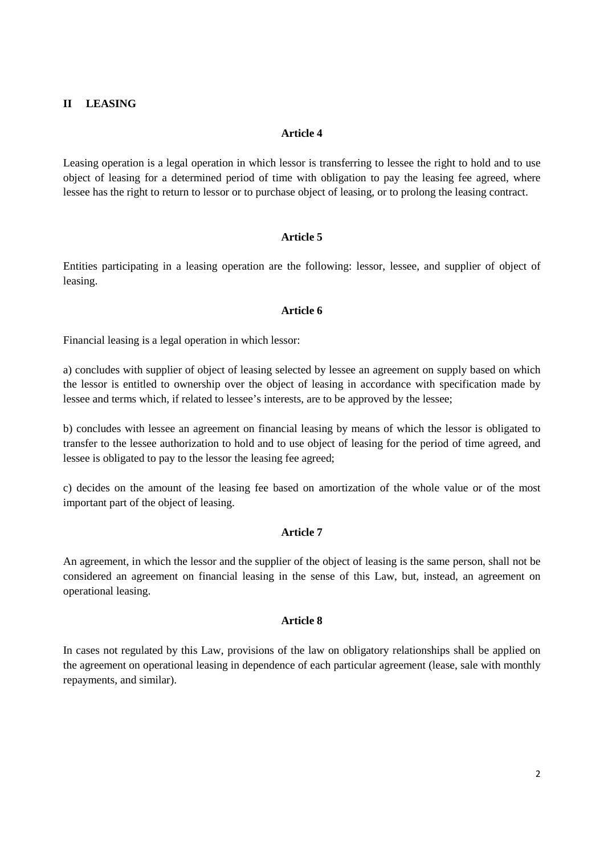## **II LEASING**

#### **Article 4**

Leasing operation is a legal operation in which lessor is transferring to lessee the right to hold and to use object of leasing for a determined period of time with obligation to pay the leasing fee agreed, where lessee has the right to return to lessor or to purchase object of leasing, or to prolong the leasing contract.

#### **Article 5**

Entities participating in a leasing operation are the following: lessor, lessee, and supplier of object of leasing.

#### **Article 6**

Financial leasing is a legal operation in which lessor:

a) concludes with supplier of object of leasing selected by lessee an agreement on supply based on which the lessor is entitled to ownership over the object of leasing in accordance with specification made by lessee and terms which, if related to lessee's interests, are to be approved by the lessee;

b) concludes with lessee an agreement on financial leasing by means of which the lessor is obligated to transfer to the lessee authorization to hold and to use object of leasing for the period of time agreed, and lessee is obligated to pay to the lessor the leasing fee agreed;

c) decides on the amount of the leasing fee based on amortization of the whole value or of the most important part of the object of leasing.

### **Article 7**

An agreement, in which the lessor and the supplier of the object of leasing is the same person, shall not be considered an agreement on financial leasing in the sense of this Law, but, instead, an agreement on operational leasing.

### **Article 8**

In cases not regulated by this Law, provisions of the law on obligatory relationships shall be applied on the agreement on operational leasing in dependence of each particular agreement (lease, sale with monthly repayments, and similar).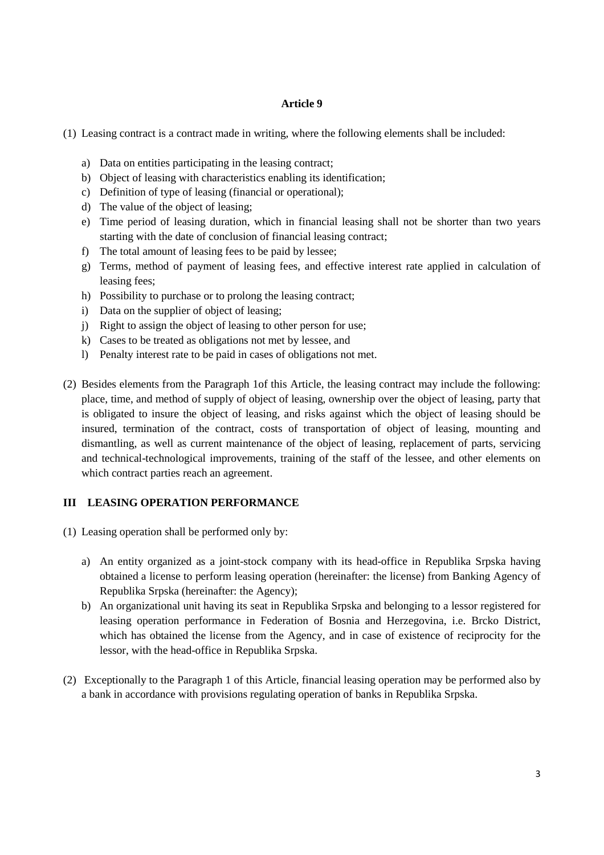(1) Leasing contract is a contract made in writing, where the following elements shall be included:

- a) Data on entities participating in the leasing contract;
- b) Object of leasing with characteristics enabling its identification;
- c) Definition of type of leasing (financial or operational);
- d) The value of the object of leasing;
- e) Time period of leasing duration, which in financial leasing shall not be shorter than two years starting with the date of conclusion of financial leasing contract;
- f) The total amount of leasing fees to be paid by lessee;
- g) Terms, method of payment of leasing fees, and effective interest rate applied in calculation of leasing fees;
- h) Possibility to purchase or to prolong the leasing contract;
- i) Data on the supplier of object of leasing;
- j) Right to assign the object of leasing to other person for use;
- k) Cases to be treated as obligations not met by lessee, and
- l) Penalty interest rate to be paid in cases of obligations not met.
- (2) Besides elements from the Paragraph 1of this Article, the leasing contract may include the following: place, time, and method of supply of object of leasing, ownership over the object of leasing, party that is obligated to insure the object of leasing, and risks against which the object of leasing should be insured, termination of the contract, costs of transportation of object of leasing, mounting and dismantling, as well as current maintenance of the object of leasing, replacement of parts, servicing and technical-technological improvements, training of the staff of the lessee, and other elements on which contract parties reach an agreement.

## **III LEASING OPERATION PERFORMANCE**

- (1) Leasing operation shall be performed only by:
	- a) An entity organized as a joint-stock company with its head-office in Republika Srpska having obtained a license to perform leasing operation (hereinafter: the license) from Banking Agency of Republika Srpska (hereinafter: the Agency);
	- b) An organizational unit having its seat in Republika Srpska and belonging to a lessor registered for leasing operation performance in Federation of Bosnia and Herzegovina, i.e. Brcko District, which has obtained the license from the Agency, and in case of existence of reciprocity for the lessor, with the head-office in Republika Srpska.
- (2) Exceptionally to the Paragraph 1 of this Article, financial leasing operation may be performed also by a bank in accordance with provisions regulating operation of banks in Republika Srpska.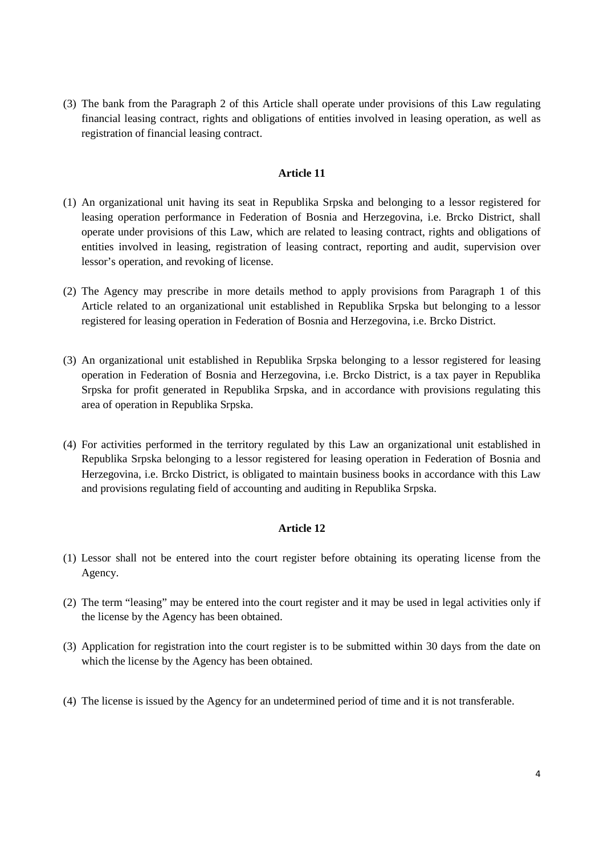(3) The bank from the Paragraph 2 of this Article shall operate under provisions of this Law regulating financial leasing contract, rights and obligations of entities involved in leasing operation, as well as registration of financial leasing contract.

### **Article 11**

- (1) An organizational unit having its seat in Republika Srpska and belonging to a lessor registered for leasing operation performance in Federation of Bosnia and Herzegovina, i.e. Brcko District, shall operate under provisions of this Law, which are related to leasing contract, rights and obligations of entities involved in leasing, registration of leasing contract, reporting and audit, supervision over lessor's operation, and revoking of license.
- (2) The Agency may prescribe in more details method to apply provisions from Paragraph 1 of this Article related to an organizational unit established in Republika Srpska but belonging to a lessor registered for leasing operation in Federation of Bosnia and Herzegovina, i.e. Brcko District.
- (3) An organizational unit established in Republika Srpska belonging to a lessor registered for leasing operation in Federation of Bosnia and Herzegovina, i.e. Brcko District, is a tax payer in Republika Srpska for profit generated in Republika Srpska, and in accordance with provisions regulating this area of operation in Republika Srpska.
- (4) For activities performed in the territory regulated by this Law an organizational unit established in Republika Srpska belonging to a lessor registered for leasing operation in Federation of Bosnia and Herzegovina, i.e. Brcko District, is obligated to maintain business books in accordance with this Law and provisions regulating field of accounting and auditing in Republika Srpska.

- (1) Lessor shall not be entered into the court register before obtaining its operating license from the Agency.
- (2) The term "leasing" may be entered into the court register and it may be used in legal activities only if the license by the Agency has been obtained.
- (3) Application for registration into the court register is to be submitted within 30 days from the date on which the license by the Agency has been obtained.
- (4) The license is issued by the Agency for an undetermined period of time and it is not transferable.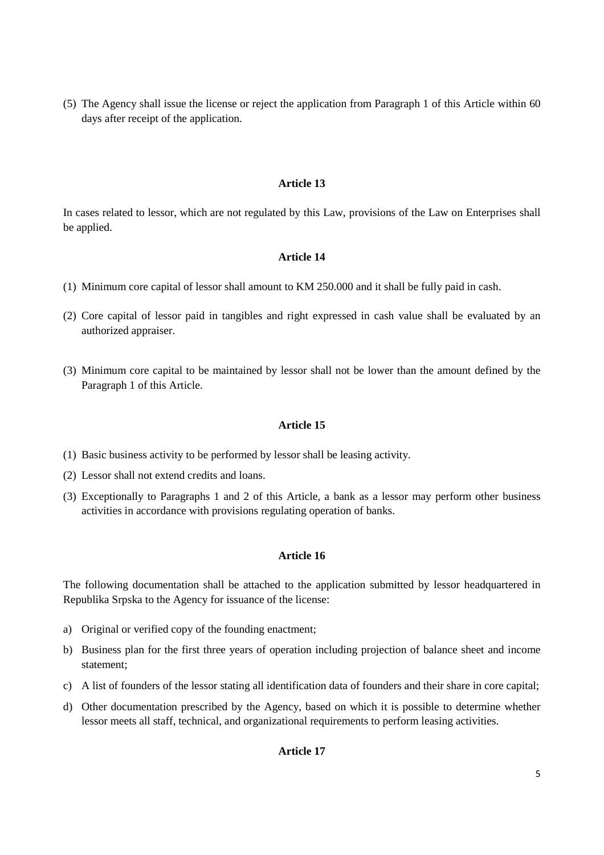(5) The Agency shall issue the license or reject the application from Paragraph 1 of this Article within 60 days after receipt of the application.

### **Article 13**

In cases related to lessor, which are not regulated by this Law, provisions of the Law on Enterprises shall be applied.

## **Article 14**

- (1) Minimum core capital of lessor shall amount to KM 250.000 and it shall be fully paid in cash.
- (2) Core capital of lessor paid in tangibles and right expressed in cash value shall be evaluated by an authorized appraiser.
- (3) Minimum core capital to be maintained by lessor shall not be lower than the amount defined by the Paragraph 1 of this Article.

## **Article 15**

- (1) Basic business activity to be performed by lessor shall be leasing activity.
- (2) Lessor shall not extend credits and loans.
- (3) Exceptionally to Paragraphs 1 and 2 of this Article, a bank as a lessor may perform other business activities in accordance with provisions regulating operation of banks.

## **Article 16**

The following documentation shall be attached to the application submitted by lessor headquartered in Republika Srpska to the Agency for issuance of the license:

- a) Original or verified copy of the founding enactment;
- b) Business plan for the first three years of operation including projection of balance sheet and income statement;
- c) A list of founders of the lessor stating all identification data of founders and their share in core capital;
- d) Other documentation prescribed by the Agency, based on which it is possible to determine whether lessor meets all staff, technical, and organizational requirements to perform leasing activities.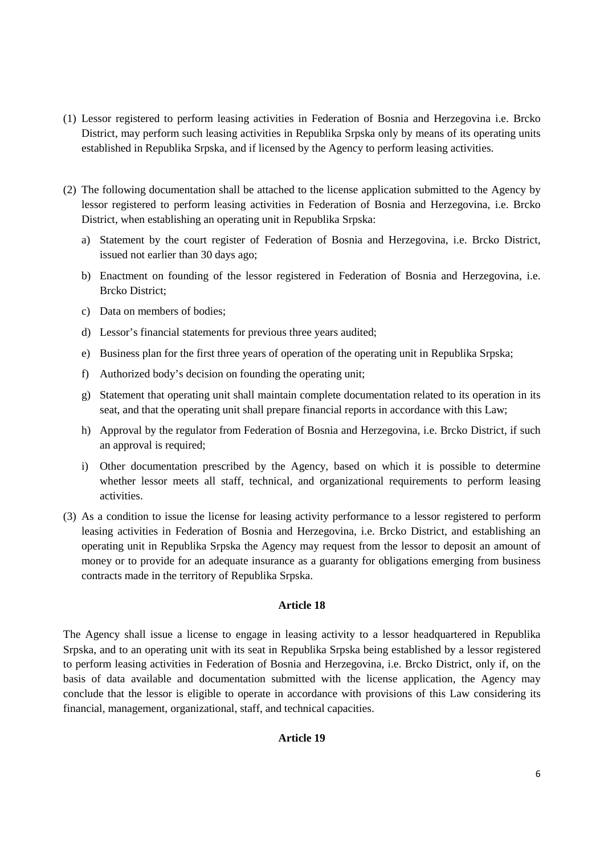- (1) Lessor registered to perform leasing activities in Federation of Bosnia and Herzegovina i.e. Brcko District, may perform such leasing activities in Republika Srpska only by means of its operating units established in Republika Srpska, and if licensed by the Agency to perform leasing activities.
- (2) The following documentation shall be attached to the license application submitted to the Agency by lessor registered to perform leasing activities in Federation of Bosnia and Herzegovina, i.e. Brcko District, when establishing an operating unit in Republika Srpska:
	- a) Statement by the court register of Federation of Bosnia and Herzegovina, i.e. Brcko District, issued not earlier than 30 days ago;
	- b) Enactment on founding of the lessor registered in Federation of Bosnia and Herzegovina, i.e. Brcko District;
	- c) Data on members of bodies;
	- d) Lessor's financial statements for previous three years audited;
	- e) Business plan for the first three years of operation of the operating unit in Republika Srpska;
	- f) Authorized body's decision on founding the operating unit;
	- g) Statement that operating unit shall maintain complete documentation related to its operation in its seat, and that the operating unit shall prepare financial reports in accordance with this Law;
	- h) Approval by the regulator from Federation of Bosnia and Herzegovina, i.e. Brcko District, if such an approval is required;
	- i) Other documentation prescribed by the Agency, based on which it is possible to determine whether lessor meets all staff, technical, and organizational requirements to perform leasing activities.
- (3) As a condition to issue the license for leasing activity performance to a lessor registered to perform leasing activities in Federation of Bosnia and Herzegovina, i.e. Brcko District, and establishing an operating unit in Republika Srpska the Agency may request from the lessor to deposit an amount of money or to provide for an adequate insurance as a guaranty for obligations emerging from business contracts made in the territory of Republika Srpska.

The Agency shall issue a license to engage in leasing activity to a lessor headquartered in Republika Srpska, and to an operating unit with its seat in Republika Srpska being established by a lessor registered to perform leasing activities in Federation of Bosnia and Herzegovina, i.e. Brcko District, only if, on the basis of data available and documentation submitted with the license application, the Agency may conclude that the lessor is eligible to operate in accordance with provisions of this Law considering its financial, management, organizational, staff, and technical capacities.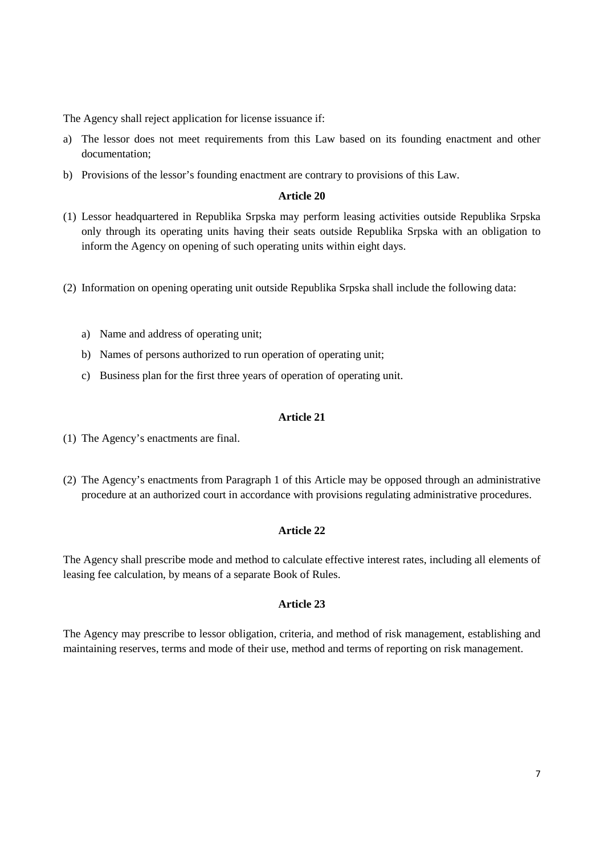The Agency shall reject application for license issuance if:

- a) The lessor does not meet requirements from this Law based on its founding enactment and other documentation;
- b) Provisions of the lessor's founding enactment are contrary to provisions of this Law.

#### **Article 20**

- (1) Lessor headquartered in Republika Srpska may perform leasing activities outside Republika Srpska only through its operating units having their seats outside Republika Srpska with an obligation to inform the Agency on opening of such operating units within eight days.
- (2) Information on opening operating unit outside Republika Srpska shall include the following data:
	- a) Name and address of operating unit;
	- b) Names of persons authorized to run operation of operating unit;
	- c) Business plan for the first three years of operation of operating unit.

### **Article 21**

- (1) The Agency's enactments are final.
- (2) The Agency's enactments from Paragraph 1 of this Article may be opposed through an administrative procedure at an authorized court in accordance with provisions regulating administrative procedures.

### **Article 22**

The Agency shall prescribe mode and method to calculate effective interest rates, including all elements of leasing fee calculation, by means of a separate Book of Rules.

### **Article 23**

The Agency may prescribe to lessor obligation, criteria, and method of risk management, establishing and maintaining reserves, terms and mode of their use, method and terms of reporting on risk management.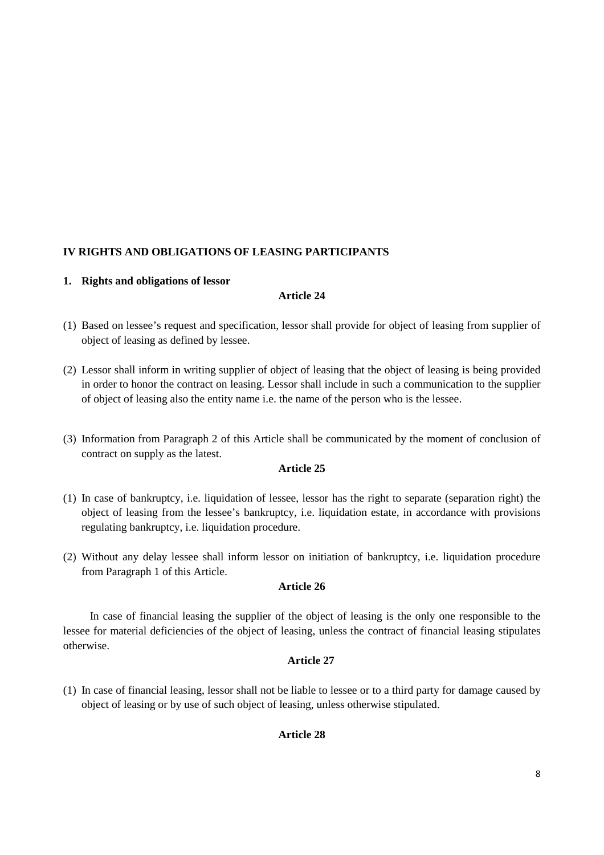## **IV RIGHTS AND OBLIGATIONS OF LEASING PARTICIPANTS**

## **1. Rights and obligations of lessor**

## **Article 24**

- (1) Based on lessee's request and specification, lessor shall provide for object of leasing from supplier of object of leasing as defined by lessee.
- (2) Lessor shall inform in writing supplier of object of leasing that the object of leasing is being provided in order to honor the contract on leasing. Lessor shall include in such a communication to the supplier of object of leasing also the entity name i.e. the name of the person who is the lessee.
- (3) Information from Paragraph 2 of this Article shall be communicated by the moment of conclusion of contract on supply as the latest.

## **Article 25**

- (1) In case of bankruptcy, i.e. liquidation of lessee, lessor has the right to separate (separation right) the object of leasing from the lessee's bankruptcy, i.e. liquidation estate, in accordance with provisions regulating bankruptcy, i.e. liquidation procedure.
- (2) Without any delay lessee shall inform lessor on initiation of bankruptcy, i.e. liquidation procedure from Paragraph 1 of this Article.

## **Article 26**

 In case of financial leasing the supplier of the object of leasing is the only one responsible to the lessee for material deficiencies of the object of leasing, unless the contract of financial leasing stipulates otherwise.

## **Article 27**

(1) In case of financial leasing, lessor shall not be liable to lessee or to a third party for damage caused by object of leasing or by use of such object of leasing, unless otherwise stipulated.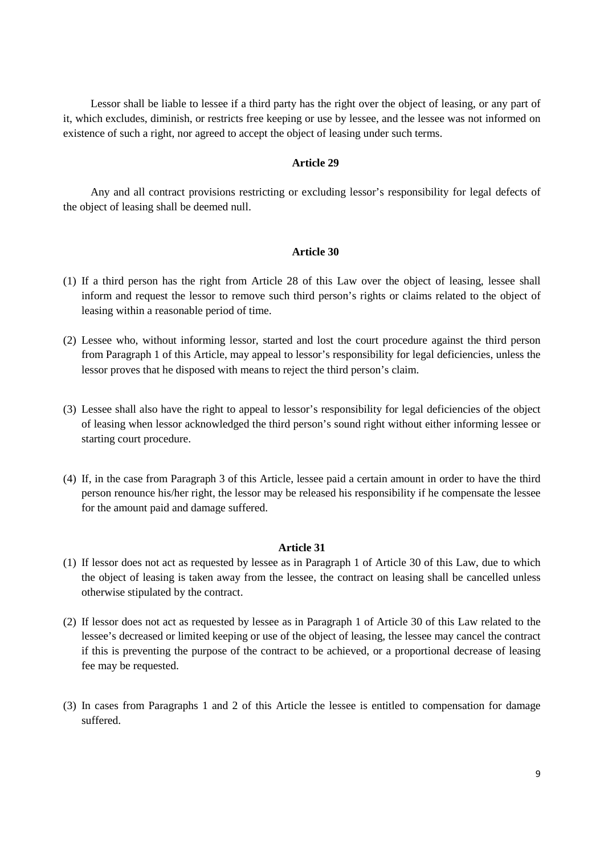Lessor shall be liable to lessee if a third party has the right over the object of leasing, or any part of it, which excludes, diminish, or restricts free keeping or use by lessee, and the lessee was not informed on existence of such a right, nor agreed to accept the object of leasing under such terms.

#### **Article 29**

Any and all contract provisions restricting or excluding lessor's responsibility for legal defects of the object of leasing shall be deemed null.

#### **Article 30**

- (1) If a third person has the right from Article 28 of this Law over the object of leasing, lessee shall inform and request the lessor to remove such third person's rights or claims related to the object of leasing within a reasonable period of time.
- (2) Lessee who, without informing lessor, started and lost the court procedure against the third person from Paragraph 1 of this Article, may appeal to lessor's responsibility for legal deficiencies, unless the lessor proves that he disposed with means to reject the third person's claim.
- (3) Lessee shall also have the right to appeal to lessor's responsibility for legal deficiencies of the object of leasing when lessor acknowledged the third person's sound right without either informing lessee or starting court procedure.
- (4) If, in the case from Paragraph 3 of this Article, lessee paid a certain amount in order to have the third person renounce his/her right, the lessor may be released his responsibility if he compensate the lessee for the amount paid and damage suffered.

- (1) If lessor does not act as requested by lessee as in Paragraph 1 of Article 30 of this Law, due to which the object of leasing is taken away from the lessee, the contract on leasing shall be cancelled unless otherwise stipulated by the contract.
- (2) If lessor does not act as requested by lessee as in Paragraph 1 of Article 30 of this Law related to the lessee's decreased or limited keeping or use of the object of leasing, the lessee may cancel the contract if this is preventing the purpose of the contract to be achieved, or a proportional decrease of leasing fee may be requested.
- (3) In cases from Paragraphs 1 and 2 of this Article the lessee is entitled to compensation for damage suffered.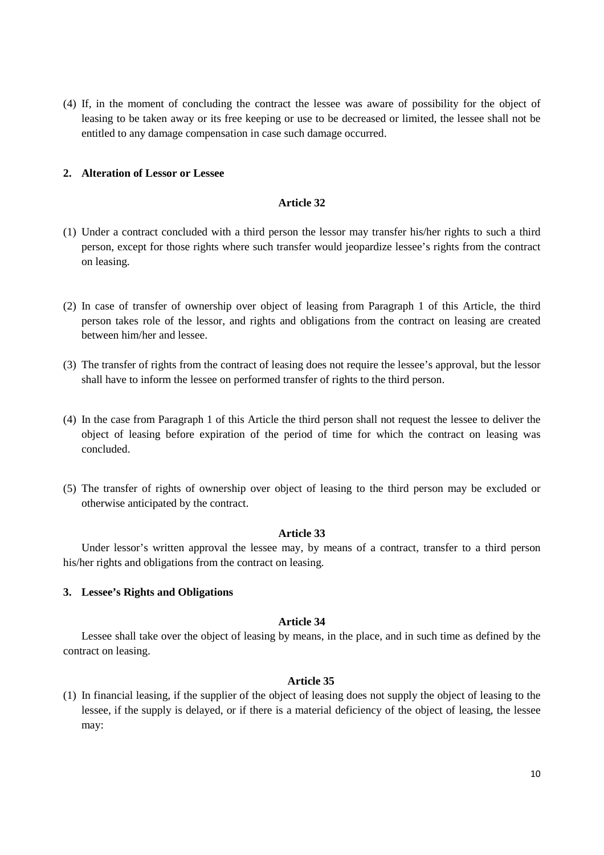(4) If, in the moment of concluding the contract the lessee was aware of possibility for the object of leasing to be taken away or its free keeping or use to be decreased or limited, the lessee shall not be entitled to any damage compensation in case such damage occurred.

### **2. Alteration of Lessor or Lessee**

#### **Article 32**

- (1) Under a contract concluded with a third person the lessor may transfer his/her rights to such a third person, except for those rights where such transfer would jeopardize lessee's rights from the contract on leasing.
- (2) In case of transfer of ownership over object of leasing from Paragraph 1 of this Article, the third person takes role of the lessor, and rights and obligations from the contract on leasing are created between him/her and lessee.
- (3) The transfer of rights from the contract of leasing does not require the lessee's approval, but the lessor shall have to inform the lessee on performed transfer of rights to the third person.
- (4) In the case from Paragraph 1 of this Article the third person shall not request the lessee to deliver the object of leasing before expiration of the period of time for which the contract on leasing was concluded.
- (5) The transfer of rights of ownership over object of leasing to the third person may be excluded or otherwise anticipated by the contract.

### **Article 33**

Under lessor's written approval the lessee may, by means of a contract, transfer to a third person his/her rights and obligations from the contract on leasing.

### **3. Lessee's Rights and Obligations**

#### **Article 34**

Lessee shall take over the object of leasing by means, in the place, and in such time as defined by the contract on leasing.

#### **Article 35**

(1) In financial leasing, if the supplier of the object of leasing does not supply the object of leasing to the lessee, if the supply is delayed, or if there is a material deficiency of the object of leasing, the lessee may: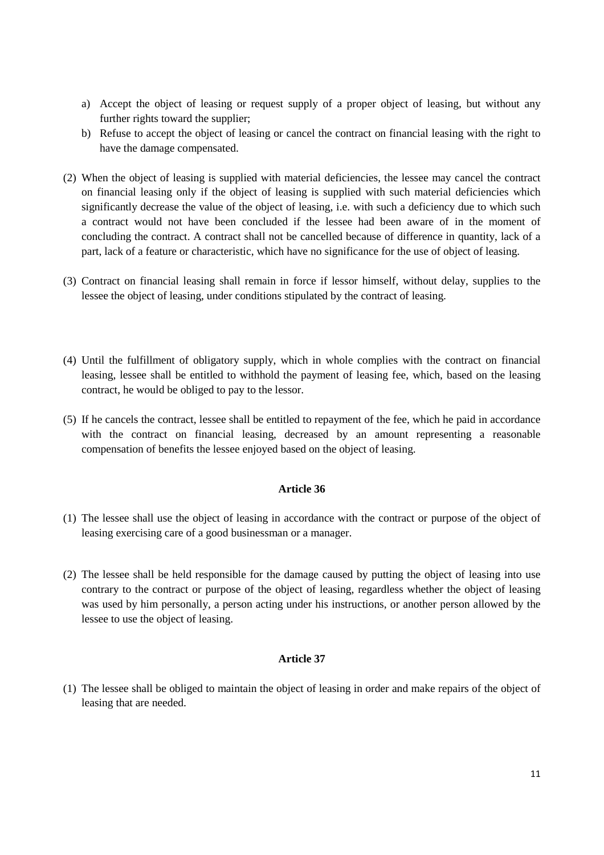- a) Accept the object of leasing or request supply of a proper object of leasing, but without any further rights toward the supplier;
- b) Refuse to accept the object of leasing or cancel the contract on financial leasing with the right to have the damage compensated.
- (2) When the object of leasing is supplied with material deficiencies, the lessee may cancel the contract on financial leasing only if the object of leasing is supplied with such material deficiencies which significantly decrease the value of the object of leasing, i.e. with such a deficiency due to which such a contract would not have been concluded if the lessee had been aware of in the moment of concluding the contract. A contract shall not be cancelled because of difference in quantity, lack of a part, lack of a feature or characteristic, which have no significance for the use of object of leasing.
- (3) Contract on financial leasing shall remain in force if lessor himself, without delay, supplies to the lessee the object of leasing, under conditions stipulated by the contract of leasing.
- (4) Until the fulfillment of obligatory supply, which in whole complies with the contract on financial leasing, lessee shall be entitled to withhold the payment of leasing fee, which, based on the leasing contract, he would be obliged to pay to the lessor.
- (5) If he cancels the contract, lessee shall be entitled to repayment of the fee, which he paid in accordance with the contract on financial leasing, decreased by an amount representing a reasonable compensation of benefits the lessee enjoyed based on the object of leasing.

- (1) The lessee shall use the object of leasing in accordance with the contract or purpose of the object of leasing exercising care of a good businessman or a manager.
- (2) The lessee shall be held responsible for the damage caused by putting the object of leasing into use contrary to the contract or purpose of the object of leasing, regardless whether the object of leasing was used by him personally, a person acting under his instructions, or another person allowed by the lessee to use the object of leasing.

### **Article 37**

(1) The lessee shall be obliged to maintain the object of leasing in order and make repairs of the object of leasing that are needed.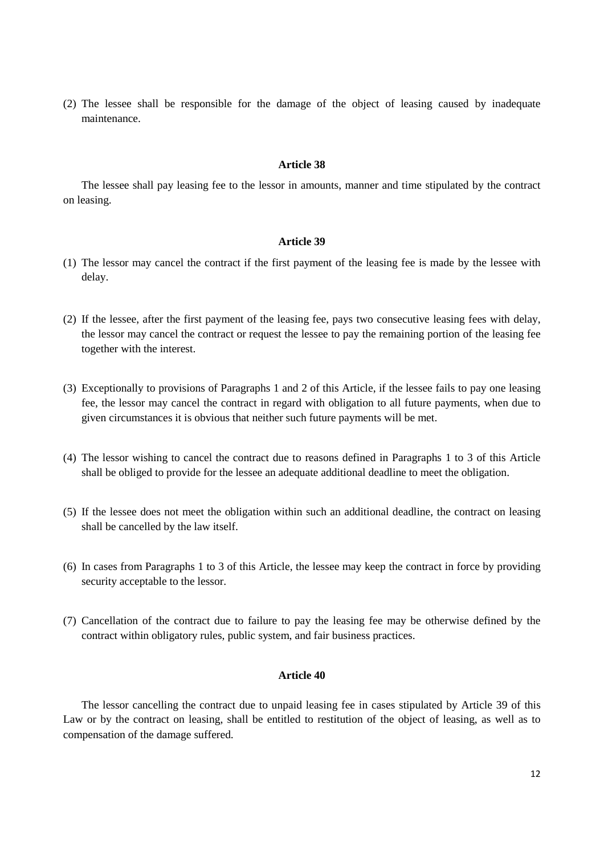(2) The lessee shall be responsible for the damage of the object of leasing caused by inadequate maintenance.

#### **Article 38**

The lessee shall pay leasing fee to the lessor in amounts, manner and time stipulated by the contract on leasing.

### **Article 39**

- (1) The lessor may cancel the contract if the first payment of the leasing fee is made by the lessee with delay.
- (2) If the lessee, after the first payment of the leasing fee, pays two consecutive leasing fees with delay, the lessor may cancel the contract or request the lessee to pay the remaining portion of the leasing fee together with the interest.
- (3) Exceptionally to provisions of Paragraphs 1 and 2 of this Article, if the lessee fails to pay one leasing fee, the lessor may cancel the contract in regard with obligation to all future payments, when due to given circumstances it is obvious that neither such future payments will be met.
- (4) The lessor wishing to cancel the contract due to reasons defined in Paragraphs 1 to 3 of this Article shall be obliged to provide for the lessee an adequate additional deadline to meet the obligation.
- (5) If the lessee does not meet the obligation within such an additional deadline, the contract on leasing shall be cancelled by the law itself.
- (6) In cases from Paragraphs 1 to 3 of this Article, the lessee may keep the contract in force by providing security acceptable to the lessor.
- (7) Cancellation of the contract due to failure to pay the leasing fee may be otherwise defined by the contract within obligatory rules, public system, and fair business practices.

## **Article 40**

The lessor cancelling the contract due to unpaid leasing fee in cases stipulated by Article 39 of this Law or by the contract on leasing, shall be entitled to restitution of the object of leasing, as well as to compensation of the damage suffered.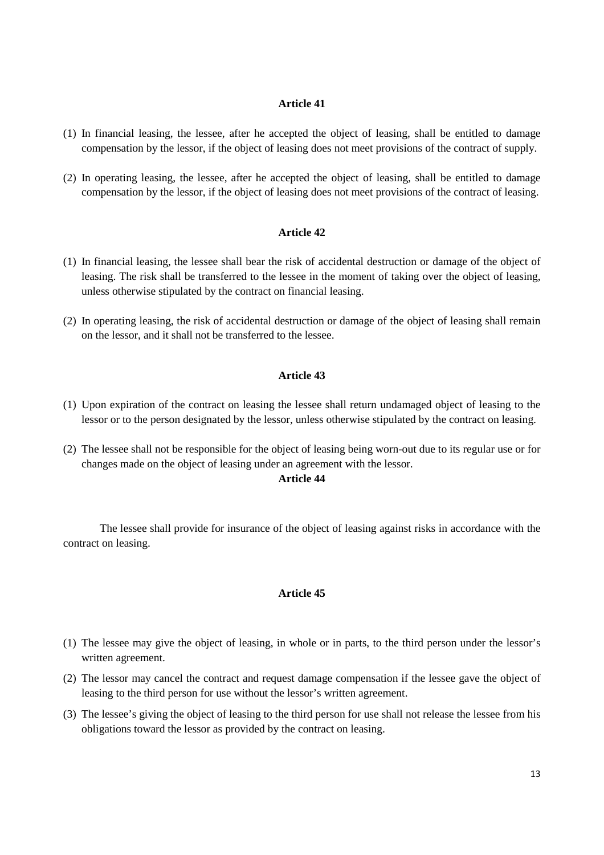- (1) In financial leasing, the lessee, after he accepted the object of leasing, shall be entitled to damage compensation by the lessor, if the object of leasing does not meet provisions of the contract of supply.
- (2) In operating leasing, the lessee, after he accepted the object of leasing, shall be entitled to damage compensation by the lessor, if the object of leasing does not meet provisions of the contract of leasing.

#### **Article 42**

- (1) In financial leasing, the lessee shall bear the risk of accidental destruction or damage of the object of leasing. The risk shall be transferred to the lessee in the moment of taking over the object of leasing, unless otherwise stipulated by the contract on financial leasing.
- (2) In operating leasing, the risk of accidental destruction or damage of the object of leasing shall remain on the lessor, and it shall not be transferred to the lessee.

### **Article 43**

- (1) Upon expiration of the contract on leasing the lessee shall return undamaged object of leasing to the lessor or to the person designated by the lessor, unless otherwise stipulated by the contract on leasing.
- (2) The lessee shall not be responsible for the object of leasing being worn-out due to its regular use or for changes made on the object of leasing under an agreement with the lessor.

### **Article 44**

The lessee shall provide for insurance of the object of leasing against risks in accordance with the contract on leasing.

- (1) The lessee may give the object of leasing, in whole or in parts, to the third person under the lessor's written agreement.
- (2) The lessor may cancel the contract and request damage compensation if the lessee gave the object of leasing to the third person for use without the lessor's written agreement.
- (3) The lessee's giving the object of leasing to the third person for use shall not release the lessee from his obligations toward the lessor as provided by the contract on leasing.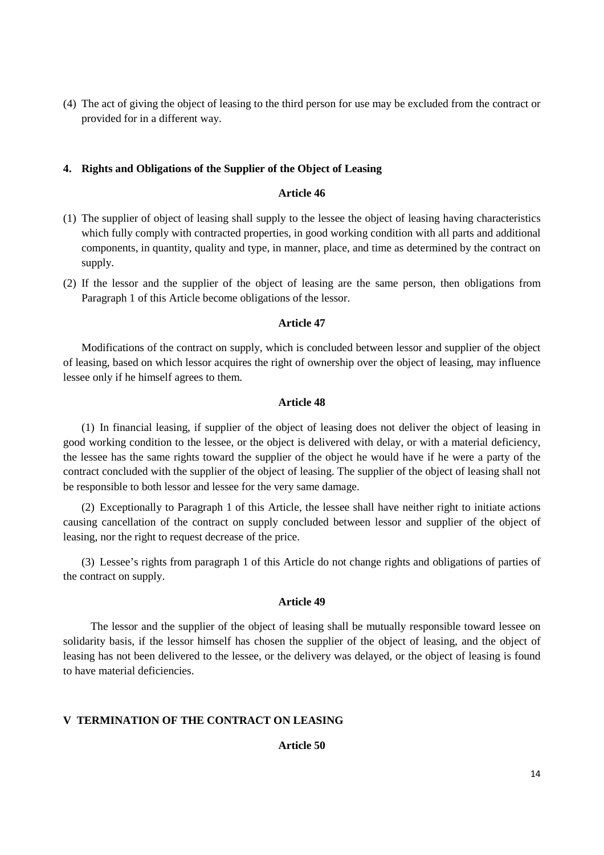(4) The act of giving the object of leasing to the third person for use may be excluded from the contract or provided for in a different way.

#### **4. Rights and Obligations of the Supplier of the Object of Leasing**

#### **Article 46**

- (1) The supplier of object of leasing shall supply to the lessee the object of leasing having characteristics which fully comply with contracted properties, in good working condition with all parts and additional components, in quantity, quality and type, in manner, place, and time as determined by the contract on supply.
- (2) If the lessor and the supplier of the object of leasing are the same person, then obligations from Paragraph 1 of this Article become obligations of the lessor.

### **Article 47**

Modifications of the contract on supply, which is concluded between lessor and supplier of the object of leasing, based on which lessor acquires the right of ownership over the object of leasing, may influence lessee only if he himself agrees to them.

#### **Article 48**

(1) In financial leasing, if supplier of the object of leasing does not deliver the object of leasing in good working condition to the lessee, or the object is delivered with delay, or with a material deficiency, the lessee has the same rights toward the supplier of the object he would have if he were a party of the contract concluded with the supplier of the object of leasing. The supplier of the object of leasing shall not be responsible to both lessor and lessee for the very same damage.

(2) Exceptionally to Paragraph 1 of this Article, the lessee shall have neither right to initiate actions causing cancellation of the contract on supply concluded between lessor and supplier of the object of leasing, nor the right to request decrease of the price.

(3) Lessee's rights from paragraph 1 of this Article do not change rights and obligations of parties of the contract on supply.

#### **Article 49**

The lessor and the supplier of the object of leasing shall be mutually responsible toward lessee on solidarity basis, if the lessor himself has chosen the supplier of the object of leasing, and the object of leasing has not been delivered to the lessee, or the delivery was delayed, or the object of leasing is found to have material deficiencies.

### **V TERMINATION OF THE CONTRACT ON LEASING**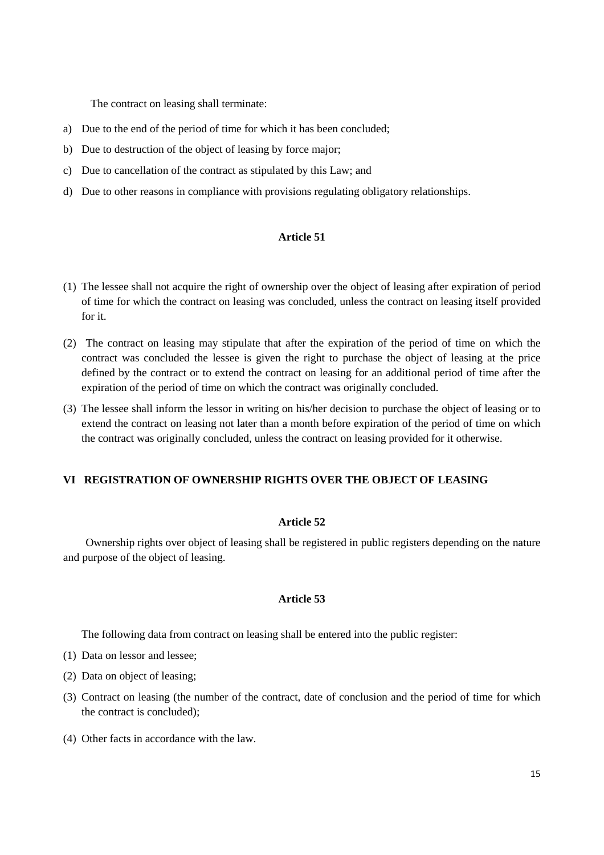The contract on leasing shall terminate:

- a) Due to the end of the period of time for which it has been concluded;
- b) Due to destruction of the object of leasing by force major;
- c) Due to cancellation of the contract as stipulated by this Law; and
- d) Due to other reasons in compliance with provisions regulating obligatory relationships.

#### **Article 51**

- (1) The lessee shall not acquire the right of ownership over the object of leasing after expiration of period of time for which the contract on leasing was concluded, unless the contract on leasing itself provided for it.
- (2) The contract on leasing may stipulate that after the expiration of the period of time on which the contract was concluded the lessee is given the right to purchase the object of leasing at the price defined by the contract or to extend the contract on leasing for an additional period of time after the expiration of the period of time on which the contract was originally concluded.
- (3) The lessee shall inform the lessor in writing on his/her decision to purchase the object of leasing or to extend the contract on leasing not later than a month before expiration of the period of time on which the contract was originally concluded, unless the contract on leasing provided for it otherwise.

### **VI REGISTRATION OF OWNERSHIP RIGHTS OVER THE OBJECT OF LEASING**

#### **Article 52**

 Ownership rights over object of leasing shall be registered in public registers depending on the nature and purpose of the object of leasing.

### **Article 53**

The following data from contract on leasing shall be entered into the public register:

- (1) Data on lessor and lessee;
- (2) Data on object of leasing;
- (3) Contract on leasing (the number of the contract, date of conclusion and the period of time for which the contract is concluded);
- (4) Other facts in accordance with the law.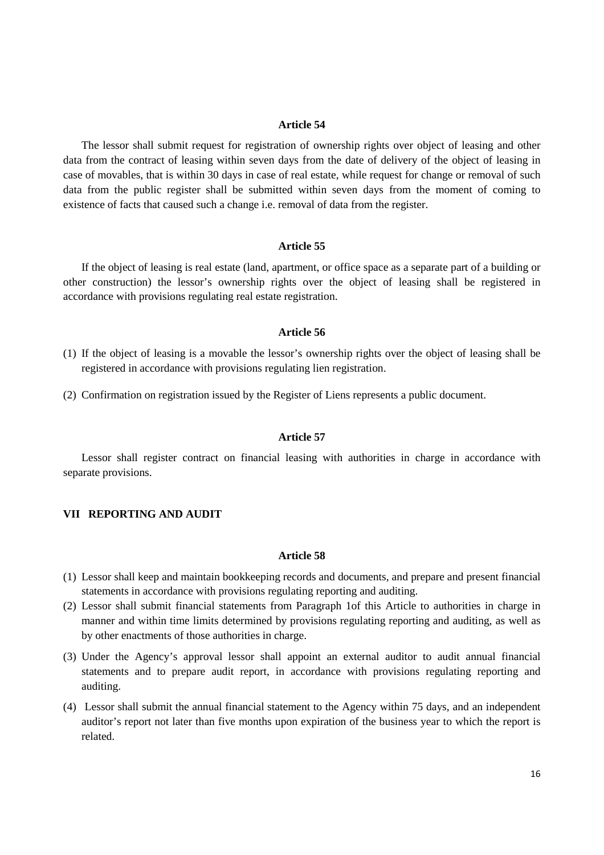The lessor shall submit request for registration of ownership rights over object of leasing and other data from the contract of leasing within seven days from the date of delivery of the object of leasing in case of movables, that is within 30 days in case of real estate, while request for change or removal of such data from the public register shall be submitted within seven days from the moment of coming to existence of facts that caused such a change i.e. removal of data from the register.

#### **Article 55**

If the object of leasing is real estate (land, apartment, or office space as a separate part of a building or other construction) the lessor's ownership rights over the object of leasing shall be registered in accordance with provisions regulating real estate registration.

#### **Article 56**

- (1) If the object of leasing is a movable the lessor's ownership rights over the object of leasing shall be registered in accordance with provisions regulating lien registration.
- (2) Confirmation on registration issued by the Register of Liens represents a public document.

#### **Article 57**

Lessor shall register contract on financial leasing with authorities in charge in accordance with separate provisions.

#### **VII REPORTING AND AUDIT**

- (1) Lessor shall keep and maintain bookkeeping records and documents, and prepare and present financial statements in accordance with provisions regulating reporting and auditing.
- (2) Lessor shall submit financial statements from Paragraph 1of this Article to authorities in charge in manner and within time limits determined by provisions regulating reporting and auditing, as well as by other enactments of those authorities in charge.
- (3) Under the Agency's approval lessor shall appoint an external auditor to audit annual financial statements and to prepare audit report, in accordance with provisions regulating reporting and auditing.
- (4) Lessor shall submit the annual financial statement to the Agency within 75 days, and an independent auditor's report not later than five months upon expiration of the business year to which the report is related.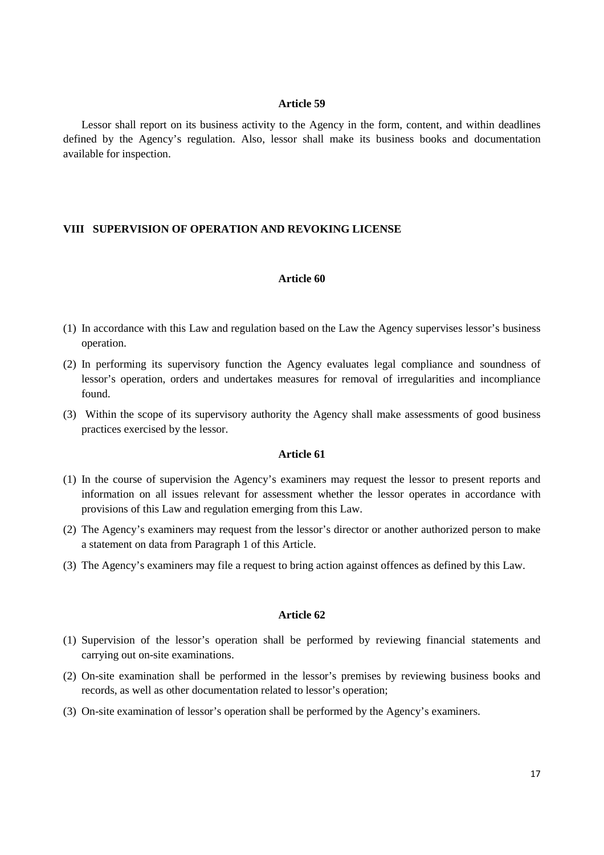Lessor shall report on its business activity to the Agency in the form, content, and within deadlines defined by the Agency's regulation. Also, lessor shall make its business books and documentation available for inspection.

#### **VIII SUPERVISION OF OPERATION AND REVOKING LICENSE**

#### **Article 60**

- (1) In accordance with this Law and regulation based on the Law the Agency supervises lessor's business operation.
- (2) In performing its supervisory function the Agency evaluates legal compliance and soundness of lessor's operation, orders and undertakes measures for removal of irregularities and incompliance found.
- (3) Within the scope of its supervisory authority the Agency shall make assessments of good business practices exercised by the lessor.

### **Article 61**

- (1) In the course of supervision the Agency's examiners may request the lessor to present reports and information on all issues relevant for assessment whether the lessor operates in accordance with provisions of this Law and regulation emerging from this Law.
- (2) The Agency's examiners may request from the lessor's director or another authorized person to make a statement on data from Paragraph 1 of this Article.
- (3) The Agency's examiners may file a request to bring action against offences as defined by this Law.

- (1) Supervision of the lessor's operation shall be performed by reviewing financial statements and carrying out on-site examinations.
- (2) On-site examination shall be performed in the lessor's premises by reviewing business books and records, as well as other documentation related to lessor's operation;
- (3) On-site examination of lessor's operation shall be performed by the Agency's examiners.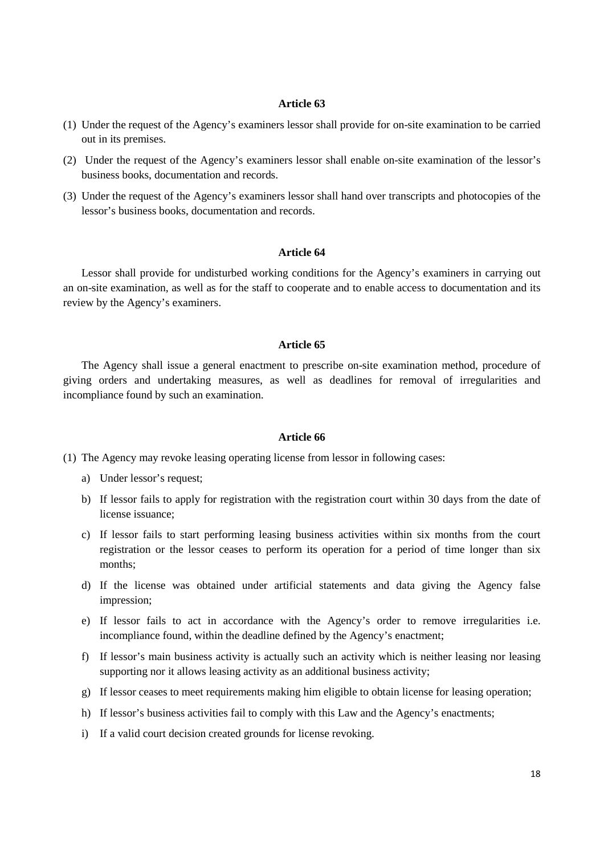- (1) Under the request of the Agency's examiners lessor shall provide for on-site examination to be carried out in its premises.
- (2) Under the request of the Agency's examiners lessor shall enable on-site examination of the lessor's business books, documentation and records.
- (3) Under the request of the Agency's examiners lessor shall hand over transcripts and photocopies of the lessor's business books, documentation and records.

#### **Article 64**

Lessor shall provide for undisturbed working conditions for the Agency's examiners in carrying out an on-site examination, as well as for the staff to cooperate and to enable access to documentation and its review by the Agency's examiners.

#### **Article 65**

The Agency shall issue a general enactment to prescribe on-site examination method, procedure of giving orders and undertaking measures, as well as deadlines for removal of irregularities and incompliance found by such an examination.

#### **Article 66**

(1) The Agency may revoke leasing operating license from lessor in following cases:

- a) Under lessor's request;
- b) If lessor fails to apply for registration with the registration court within 30 days from the date of license issuance;
- c) If lessor fails to start performing leasing business activities within six months from the court registration or the lessor ceases to perform its operation for a period of time longer than six months;
- d) If the license was obtained under artificial statements and data giving the Agency false impression;
- e) If lessor fails to act in accordance with the Agency's order to remove irregularities i.e. incompliance found, within the deadline defined by the Agency's enactment;
- f) If lessor's main business activity is actually such an activity which is neither leasing nor leasing supporting nor it allows leasing activity as an additional business activity;
- g) If lessor ceases to meet requirements making him eligible to obtain license for leasing operation;
- h) If lessor's business activities fail to comply with this Law and the Agency's enactments;
- i) If a valid court decision created grounds for license revoking.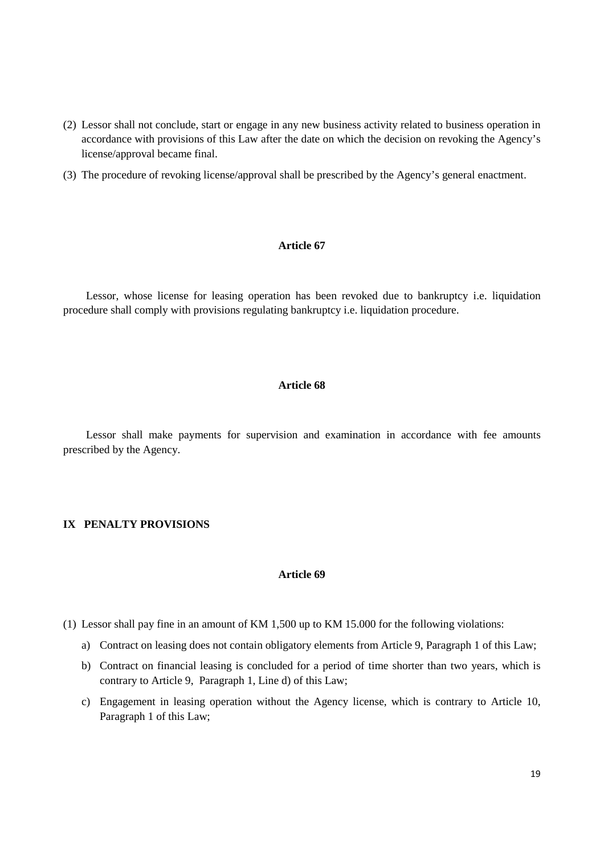- (2) Lessor shall not conclude, start or engage in any new business activity related to business operation in accordance with provisions of this Law after the date on which the decision on revoking the Agency's license/approval became final.
- (3) The procedure of revoking license/approval shall be prescribed by the Agency's general enactment.

Lessor, whose license for leasing operation has been revoked due to bankruptcy i.e. liquidation procedure shall comply with provisions regulating bankruptcy i.e. liquidation procedure.

#### **Article 68**

Lessor shall make payments for supervision and examination in accordance with fee amounts prescribed by the Agency.

#### **IX PENALTY PROVISIONS**

- (1) Lessor shall pay fine in an amount of KM 1,500 up to KM 15.000 for the following violations:
	- a) Contract on leasing does not contain obligatory elements from Article 9, Paragraph 1 of this Law;
	- b) Contract on financial leasing is concluded for a period of time shorter than two years, which is contrary to Article 9, Paragraph 1, Line d) of this Law;
	- c) Engagement in leasing operation without the Agency license, which is contrary to Article 10, Paragraph 1 of this Law;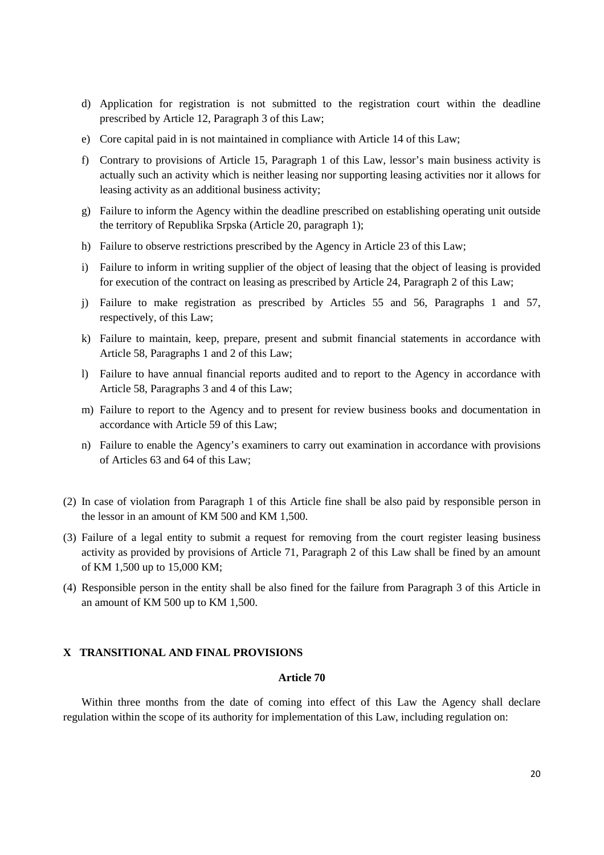- d) Application for registration is not submitted to the registration court within the deadline prescribed by Article 12, Paragraph 3 of this Law;
- e) Core capital paid in is not maintained in compliance with Article 14 of this Law;
- f) Contrary to provisions of Article 15, Paragraph 1 of this Law, lessor's main business activity is actually such an activity which is neither leasing nor supporting leasing activities nor it allows for leasing activity as an additional business activity;
- g) Failure to inform the Agency within the deadline prescribed on establishing operating unit outside the territory of Republika Srpska (Article 20, paragraph 1);
- h) Failure to observe restrictions prescribed by the Agency in Article 23 of this Law;
- i) Failure to inform in writing supplier of the object of leasing that the object of leasing is provided for execution of the contract on leasing as prescribed by Article 24, Paragraph 2 of this Law;
- j) Failure to make registration as prescribed by Articles 55 and 56, Paragraphs 1 and 57, respectively, of this Law;
- k) Failure to maintain, keep, prepare, present and submit financial statements in accordance with Article 58, Paragraphs 1 and 2 of this Law;
- l) Failure to have annual financial reports audited and to report to the Agency in accordance with Article 58, Paragraphs 3 and 4 of this Law;
- m) Failure to report to the Agency and to present for review business books and documentation in accordance with Article 59 of this Law;
- n) Failure to enable the Agency's examiners to carry out examination in accordance with provisions of Articles 63 and 64 of this Law;
- (2) In case of violation from Paragraph 1 of this Article fine shall be also paid by responsible person in the lessor in an amount of KM 500 and KM 1,500.
- (3) Failure of a legal entity to submit a request for removing from the court register leasing business activity as provided by provisions of Article 71, Paragraph 2 of this Law shall be fined by an amount of KM 1,500 up to 15,000 KM;
- (4) Responsible person in the entity shall be also fined for the failure from Paragraph 3 of this Article in an amount of KM 500 up to KM 1,500.

## **X TRANSITIONAL AND FINAL PROVISIONS**

#### **Article 70**

Within three months from the date of coming into effect of this Law the Agency shall declare regulation within the scope of its authority for implementation of this Law, including regulation on: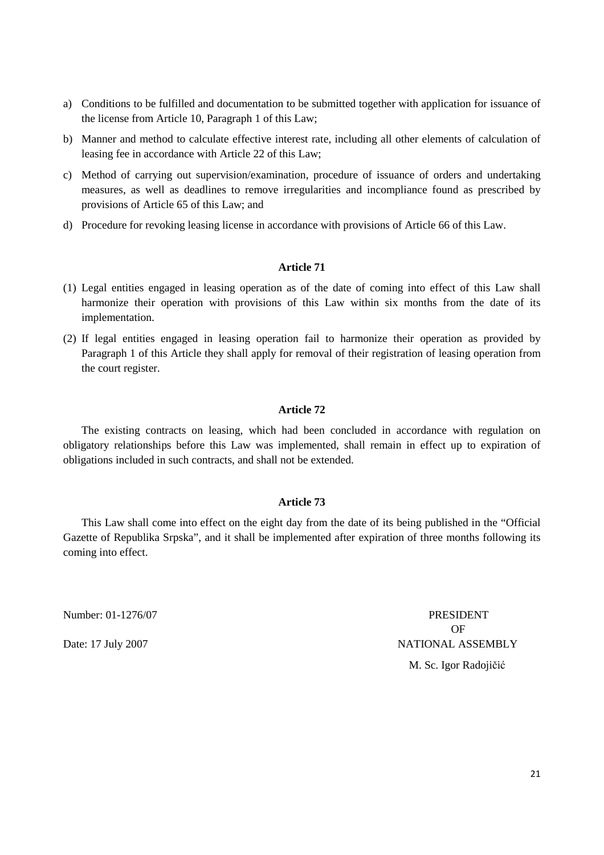- a) Conditions to be fulfilled and documentation to be submitted together with application for issuance of the license from Article 10, Paragraph 1 of this Law;
- b) Manner and method to calculate effective interest rate, including all other elements of calculation of leasing fee in accordance with Article 22 of this Law;
- c) Method of carrying out supervision/examination, procedure of issuance of orders and undertaking measures, as well as deadlines to remove irregularities and incompliance found as prescribed by provisions of Article 65 of this Law; and
- d) Procedure for revoking leasing license in accordance with provisions of Article 66 of this Law.

- (1) Legal entities engaged in leasing operation as of the date of coming into effect of this Law shall harmonize their operation with provisions of this Law within six months from the date of its implementation.
- (2) If legal entities engaged in leasing operation fail to harmonize their operation as provided by Paragraph 1 of this Article they shall apply for removal of their registration of leasing operation from the court register.

### **Article 72**

The existing contracts on leasing, which had been concluded in accordance with regulation on obligatory relationships before this Law was implemented, shall remain in effect up to expiration of obligations included in such contracts, and shall not be extended.

### **Article 73**

This Law shall come into effect on the eight day from the date of its being published in the "Official Gazette of Republika Srpska", and it shall be implemented after expiration of three months following its coming into effect.

Number: 01-1276/07 PRESIDENT

 OF Date: 17 July 2007 NATIONAL ASSEMBLY M. Sc. Igor Radojičić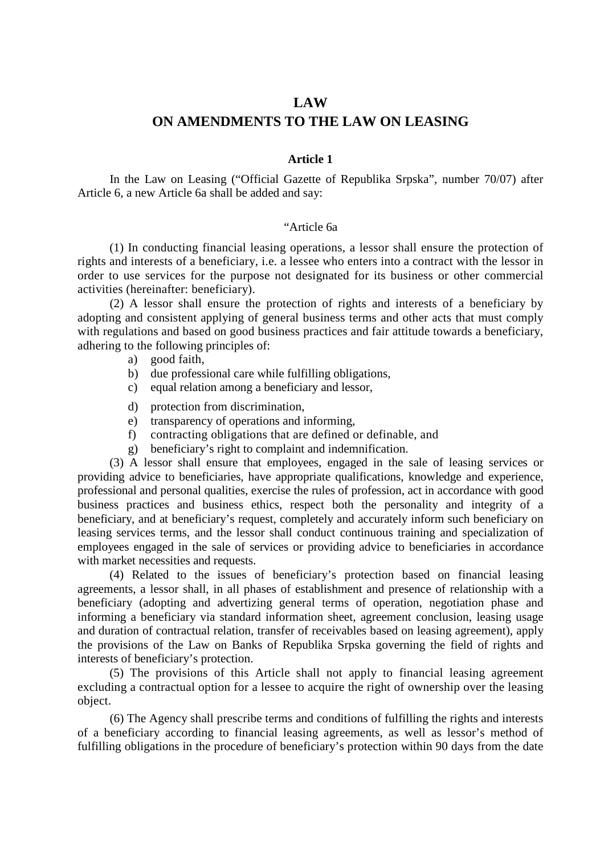## **LAW**

# **ON AMENDMENTS TO THE LAW ON LEASING**

### **Article 1**

In the Law on Leasing ("Official Gazette of Republika Srpska", number 70/07) after Article 6, a new Article 6a shall be added and say:

### "Article 6a

(1) In conducting financial leasing operations, a lessor shall ensure the protection of rights and interests of a beneficiary, i.e. a lessee who enters into a contract with the lessor in order to use services for the purpose not designated for its business or other commercial activities (hereinafter: beneficiary).

(2) A lessor shall ensure the protection of rights and interests of a beneficiary by adopting and consistent applying of general business terms and other acts that must comply with regulations and based on good business practices and fair attitude towards a beneficiary, adhering to the following principles of:

- a) good faith,
- b) due professional care while fulfilling obligations,
- c) equal relation among a beneficiary and lessor,
- d) protection from discrimination,
- e) transparency of operations and informing,
- f) contracting obligations that are defined or definable, and
- g) beneficiary's right to complaint and indemnification.

(3) A lessor shall ensure that employees, engaged in the sale of leasing services or providing advice to beneficiaries, have appropriate qualifications, knowledge and experience, professional and personal qualities, exercise the rules of profession, act in accordance with good business practices and business ethics, respect both the personality and integrity of a beneficiary, and at beneficiary's request, completely and accurately inform such beneficiary on leasing services terms, and the lessor shall conduct continuous training and specialization of employees engaged in the sale of services or providing advice to beneficiaries in accordance with market necessities and requests.

(4) Related to the issues of beneficiary's protection based on financial leasing agreements, a lessor shall, in all phases of establishment and presence of relationship with a beneficiary (adopting and advertizing general terms of operation, negotiation phase and informing a beneficiary via standard information sheet, agreement conclusion, leasing usage and duration of contractual relation, transfer of receivables based on leasing agreement), apply the provisions of the Law on Banks of Republika Srpska governing the field of rights and interests of beneficiary's protection.

(5) The provisions of this Article shall not apply to financial leasing agreement excluding a contractual option for a lessee to acquire the right of ownership over the leasing object.

(6) The Agency shall prescribe terms and conditions of fulfilling the rights and interests of a beneficiary according to financial leasing agreements, as well as lessor's method of fulfilling obligations in the procedure of beneficiary's protection within 90 days from the date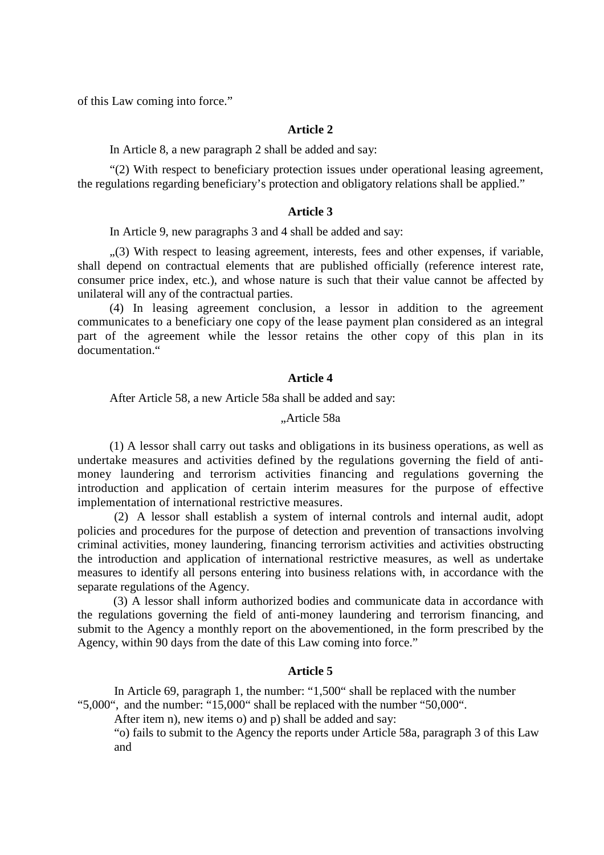of this Law coming into force."

### **Article 2**

In Article 8, a new paragraph 2 shall be added and say:

"(2) With respect to beneficiary protection issues under operational leasing agreement, the regulations regarding beneficiary's protection and obligatory relations shall be applied."

#### **Article 3**

In Article 9, new paragraphs 3 and 4 shall be added and say:

"(3) With respect to leasing agreement, interests, fees and other expenses, if variable, shall depend on contractual elements that are published officially (reference interest rate, consumer price index, etc.), and whose nature is such that their value cannot be affected by unilateral will any of the contractual parties.

(4) In leasing agreement conclusion, a lessor in addition to the agreement communicates to a beneficiary one copy of the lease payment plan considered as an integral part of the agreement while the lessor retains the other copy of this plan in its documentation."

### **Article 4**

### After Article 58, a new Article 58a shall be added and say:

### ".Article 58a

(1) A lessor shall carry out tasks and obligations in its business operations, as well as undertake measures and activities defined by the regulations governing the field of antimoney laundering and terrorism activities financing and regulations governing the introduction and application of certain interim measures for the purpose of effective implementation of international restrictive measures.

(2) A lessor shall establish a system of internal controls and internal audit, adopt policies and procedures for the purpose of detection and prevention of transactions involving criminal activities, money laundering, financing terrorism activities and activities obstructing the introduction and application of international restrictive measures, as well as undertake measures to identify all persons entering into business relations with, in accordance with the separate regulations of the Agency.

(3) A lessor shall inform authorized bodies and communicate data in accordance with the regulations governing the field of anti-money laundering and terrorism financing, and submit to the Agency a monthly report on the abovementioned, in the form prescribed by the Agency, within 90 days from the date of this Law coming into force."

### **Article 5**

In Article 69, paragraph 1, the number: "1,500" shall be replaced with the number "5,000", and the number: "15,000" shall be replaced with the number "50,000".

After item n), new items o) and p) shall be added and say:

"o) fails to submit to the Agency the reports under Article 58a, paragraph 3 of this Law and